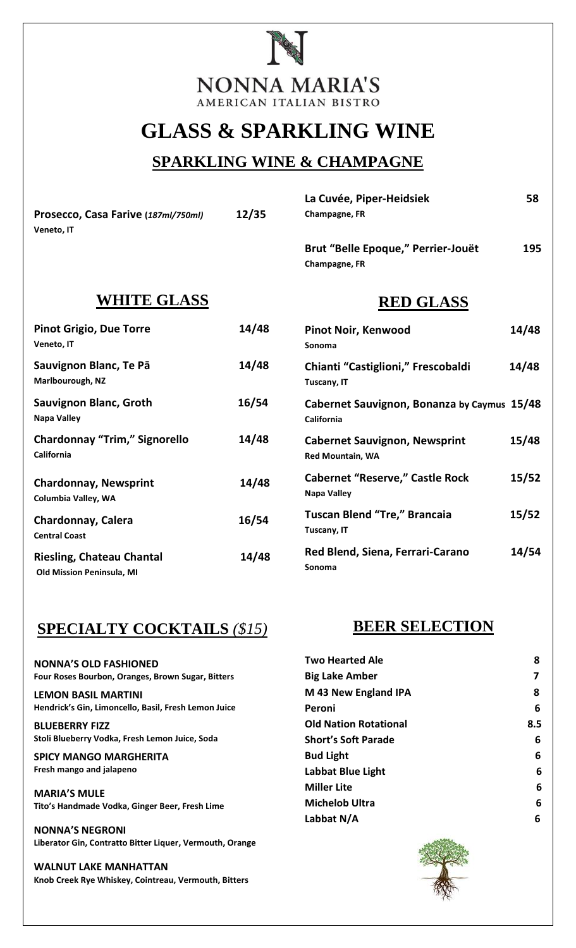

# **GLASS & SPARKLING WINE**

### **SPARKLING WINE & CHAMPAGNE**

**Prosecco, Casa Farive (***187ml/750ml)* **12/35** **Veneto, IT** 

| Champagne, FR                      |     |
|------------------------------------|-----|
| Brut "Belle Epoque," Perrier-Jouët | 195 |
| Champagne, FR                      |     |

**La Cuvée, Piper-Heidsiek 58** 

### **WHITE GLASS**

| <b>Pinot Grigio, Due Torre</b><br>Veneto, IT                         | 14/48 |
|----------------------------------------------------------------------|-------|
| Sauvignon Blanc, Te Pā<br>Marlbourough, NZ                           | 14/48 |
| Sauvignon Blanc, Groth<br>Napa Valley                                | 16/54 |
| <b>Chardonnay "Trim," Signorello</b><br>California                   | 14/48 |
| <b>Chardonnay, Newsprint</b><br>Columbia Valley, WA                  | 14/48 |
| <b>Chardonnay, Calera</b><br><b>Central Coast</b>                    | 16/54 |
| <b>Riesling, Chateau Chantal</b><br><b>Old Mission Peninsula, MI</b> | 14/48 |

## **SPECIALTY COCKTAILS** *(\$15)*

**NONNA'S OLD FASHIONED Four Roses Bourbon, Oranges, Brown Sugar, Bitters** 

**LEMON BASIL MARTINI Hendrick's Gin, Limoncello, Basil, Fresh Lemon Juice**

**BLUEBERRY FIZZ Stoli Blueberry Vodka, Fresh Lemon Juice, Soda**

**SPICY MANGO MARGHERITA Fresh mango and jalapeno** 

**MARIA'S MULE Tito's Handmade Vodka, Ginger Beer, Fresh Lime**

**NONNA'S NEGRONI Liberator Gin, Contratto Bitter Liquer, Vermouth, Orange**

**WALNUT LAKE MANHATTAN Knob Creek Rye Whiskey, Cointreau, Vermouth, Bitters**

#### **RED GLASS**

| <b>Pinot Noir, Kenwood</b><br>Sonoma                      | 14/48 |
|-----------------------------------------------------------|-------|
| Chianti "Castiglioni," Frescobaldi<br>Tuscany, IT         | 14/48 |
| Cabernet Sauvignon, Bonanza by Caymus 15/48<br>California |       |
| <b>Cabernet Sauvignon, Newsprint</b><br>Red Mountain, WA  | 15/48 |
| <b>Cabernet "Reserve," Castle Rock</b><br>Napa Valley     | 15/52 |
| <b>Tuscan Blend "Tre," Brancaia</b><br>Tuscany, IT        | 15/52 |
| Red Blend, Siena, Ferrari-Carano<br>Sonoma                | 14/54 |

### **BEER SELECTION**

| <b>Two Hearted Ale</b>       | 8   |
|------------------------------|-----|
| <b>Big Lake Amber</b>        | 7   |
| M 43 New England IPA         | 8   |
| Peroni                       | 6   |
| <b>Old Nation Rotational</b> | 8.5 |
| <b>Short's Soft Parade</b>   | 6   |
| <b>Bud Light</b>             | 6   |
| Labbat Blue Light            | 6   |
| <b>Miller Lite</b>           | 6   |
| <b>Michelob Ultra</b>        | 6   |
| Labbat N/A                   | 6   |